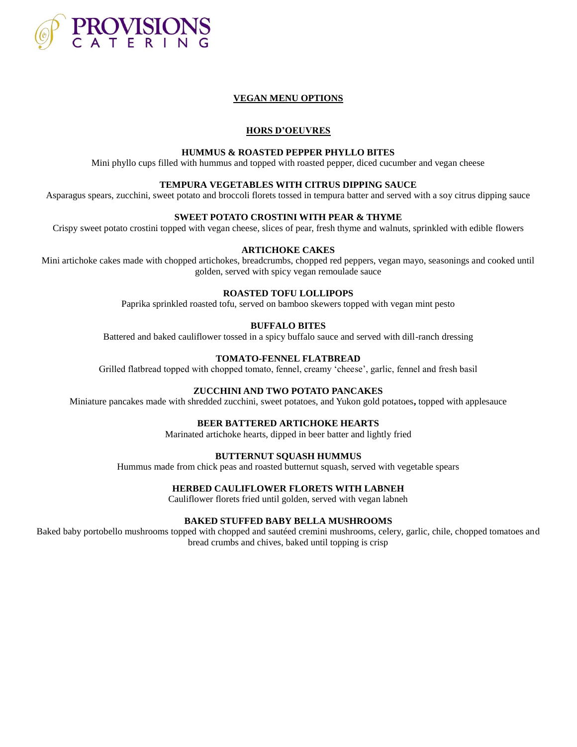

# **VEGAN MENU OPTIONS**

### **HORS D'OEUVRES**

#### **HUMMUS & ROASTED PEPPER PHYLLO BITES**

Mini phyllo cups filled with hummus and topped with roasted pepper, diced cucumber and vegan cheese

#### **TEMPURA VEGETABLES WITH CITRUS DIPPING SAUCE**

Asparagus spears, zucchini, sweet potato and broccoli florets tossed in tempura batter and served with a soy citrus dipping sauce

# **SWEET POTATO CROSTINI WITH PEAR & THYME**

Crispy sweet potato crostini topped with vegan cheese, slices of pear, fresh thyme and walnuts, sprinkled with edible flowers

### **ARTICHOKE CAKES**

Mini artichoke cakes made with chopped artichokes, breadcrumbs, chopped red peppers, vegan mayo, seasonings and cooked until golden, served with spicy vegan remoulade sauce

#### **ROASTED TOFU LOLLIPOPS**

Paprika sprinkled roasted tofu, served on bamboo skewers topped with vegan mint pesto

#### **BUFFALO BITES**

Battered and baked cauliflower tossed in a spicy buffalo sauce and served with dill-ranch dressing

### **TOMATO-FENNEL FLATBREAD**

Grilled flatbread topped with chopped tomato, fennel, creamy 'cheese', garlic, fennel and fresh basil

### **ZUCCHINI AND TWO POTATO PANCAKES**

Miniature pancakes made with shredded zucchini, sweet potatoes, and Yukon gold potatoes**,** topped with applesauce

#### **BEER BATTERED ARTICHOKE HEARTS**

Marinated artichoke hearts, dipped in beer batter and lightly fried

### **BUTTERNUT SQUASH HUMMUS**

Hummus made from chick peas and roasted butternut squash, served with vegetable spears

# **HERBED CAULIFLOWER FLORETS WITH LABNEH**

Cauliflower florets fried until golden, served with vegan labneh

#### **BAKED STUFFED BABY BELLA MUSHROOMS**

Baked baby portobello mushrooms topped with chopped and sautéed cremini mushrooms, celery, garlic, chile, chopped tomatoes and bread crumbs and chives, baked until topping is crisp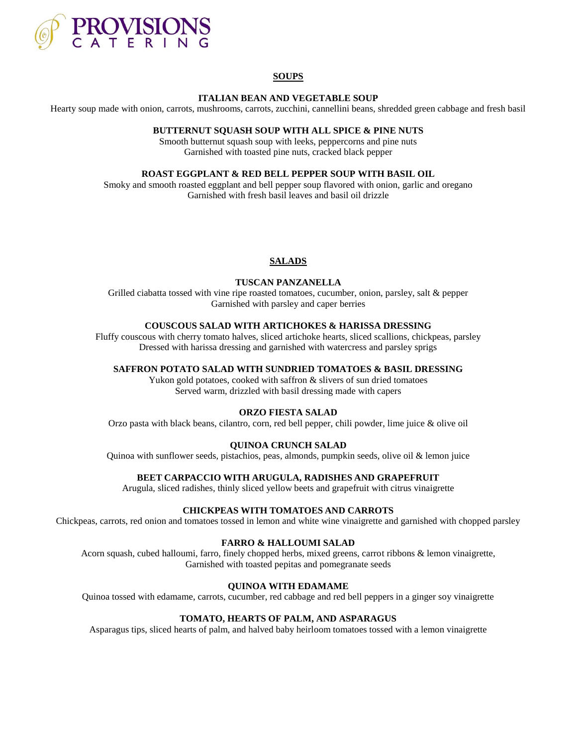

# **SOUPS**

#### **ITALIAN BEAN AND VEGETABLE SOUP**

Hearty soup made with onion, carrots, mushrooms, carrots, zucchini, cannellini beans, shredded green cabbage and fresh basil

### **BUTTERNUT SQUASH SOUP WITH ALL SPICE & PINE NUTS**

Smooth butternut squash soup with leeks, peppercorns and pine nuts Garnished with toasted pine nuts, cracked black pepper

### **ROAST EGGPLANT & RED BELL PEPPER SOUP WITH BASIL OIL**

Smoky and smooth roasted eggplant and bell pepper soup flavored with onion, garlic and oregano Garnished with fresh basil leaves and basil oil drizzle

### **SALADS**

# **TUSCAN PANZANELLA**

Grilled ciabatta tossed with vine ripe roasted tomatoes, cucumber, onion, parsley, salt & pepper Garnished with parsley and caper berries

# **COUSCOUS SALAD WITH ARTICHOKES & HARISSA DRESSING**

Fluffy couscous with cherry tomato halves, sliced artichoke hearts, sliced scallions, chickpeas, parsley Dressed with harissa dressing and garnished with watercress and parsley sprigs

### **SAFFRON POTATO SALAD WITH SUNDRIED TOMATOES & BASIL DRESSING**

Yukon gold potatoes, cooked with saffron & slivers of sun dried tomatoes Served warm, drizzled with basil dressing made with capers

## **ORZO FIESTA SALAD**

Orzo pasta with black beans, cilantro, corn, red bell pepper, chili powder, lime juice & olive oil

## **QUINOA CRUNCH SALAD**

Quinoa with sunflower seeds, pistachios, peas, almonds, pumpkin seeds, olive oil & lemon juice

#### **BEET CARPACCIO WITH ARUGULA, RADISHES AND GRAPEFRUIT**

Arugula, sliced radishes, thinly sliced yellow beets and grapefruit with citrus vinaigrette

#### **CHICKPEAS WITH TOMATOES AND CARROTS**

Chickpeas, carrots, red onion and tomatoes tossed in lemon and white wine vinaigrette and garnished with chopped parsley

#### **FARRO & HALLOUMI SALAD**

Acorn squash, cubed halloumi, farro, finely chopped herbs, mixed greens, carrot ribbons & lemon vinaigrette, Garnished with toasted pepitas and pomegranate seeds

## **QUINOA WITH EDAMAME**

Quinoa tossed with edamame, carrots, cucumber, red cabbage and red bell peppers in a ginger soy vinaigrette

# **TOMATO, HEARTS OF PALM, AND ASPARAGUS**

Asparagus tips, sliced hearts of palm, and halved baby heirloom tomatoes tossed with a lemon vinaigrette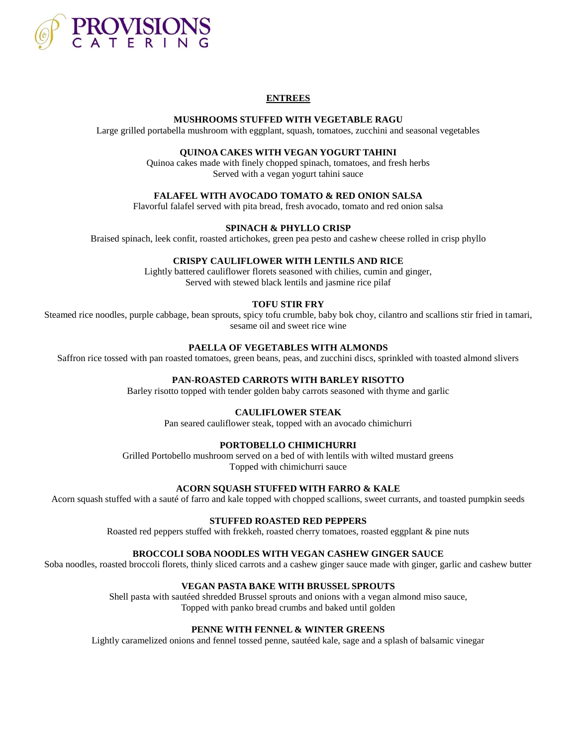

# **ENTREES**

### **MUSHROOMS STUFFED WITH VEGETABLE RAGU**

Large grilled portabella mushroom with eggplant, squash, tomatoes, zucchini and seasonal vegetables

## **QUINOA CAKES WITH VEGAN YOGURT TAHINI**

Quinoa cakes made with finely chopped spinach, tomatoes, and fresh herbs Served with a vegan yogurt tahini sauce

### **FALAFEL WITH AVOCADO TOMATO & RED ONION SALSA**

Flavorful falafel served with pita bread, fresh avocado, tomato and red onion salsa

# **SPINACH & PHYLLO CRISP**

Braised spinach, leek confit, roasted artichokes, green pea pesto and cashew cheese rolled in crisp phyllo

### **CRISPY CAULIFLOWER WITH LENTILS AND RICE**

Lightly battered cauliflower florets seasoned with chilies, cumin and ginger, Served with stewed black lentils and jasmine rice pilaf

### **TOFU STIR FRY**

Steamed rice noodles, purple cabbage, bean sprouts, spicy tofu crumble, baby bok choy, cilantro and scallions stir fried in tamari, sesame oil and sweet rice wine

# **PAELLA OF VEGETABLES WITH ALMONDS**

Saffron rice tossed with pan roasted tomatoes, green beans, peas, and zucchini discs, sprinkled with toasted almond slivers

## **PAN-ROASTED CARROTS WITH BARLEY RISOTTO**

Barley risotto topped with tender golden baby carrots seasoned with thyme and garlic

## **CAULIFLOWER STEAK**

Pan seared cauliflower steak, topped with an avocado chimichurri

#### **PORTOBELLO CHIMICHURRI**

Grilled Portobello mushroom served on a bed of with lentils with wilted mustard greens Topped with chimichurri sauce

# **ACORN SQUASH STUFFED WITH FARRO & KALE**

Acorn squash stuffed with a sauté of farro and kale topped with chopped scallions, sweet currants, and toasted pumpkin seeds

#### **STUFFED ROASTED RED PEPPERS**

Roasted red peppers stuffed with frekkeh, roasted cherry tomatoes, roasted eggplant & pine nuts

# **BROCCOLI SOBA NOODLES WITH VEGAN CASHEW GINGER SAUCE**

Soba noodles, roasted broccoli florets, thinly sliced carrots and a cashew ginger sauce made with ginger, garlic and cashew butter

# **VEGAN PASTA BAKE WITH BRUSSEL SPROUTS**

Shell pasta with sautéed shredded Brussel sprouts and onions with a vegan almond miso sauce, Topped with panko bread crumbs and baked until golden

# **PENNE WITH FENNEL & WINTER GREENS**

Lightly caramelized onions and fennel tossed penne, sautéed kale, sage and a splash of balsamic vinegar